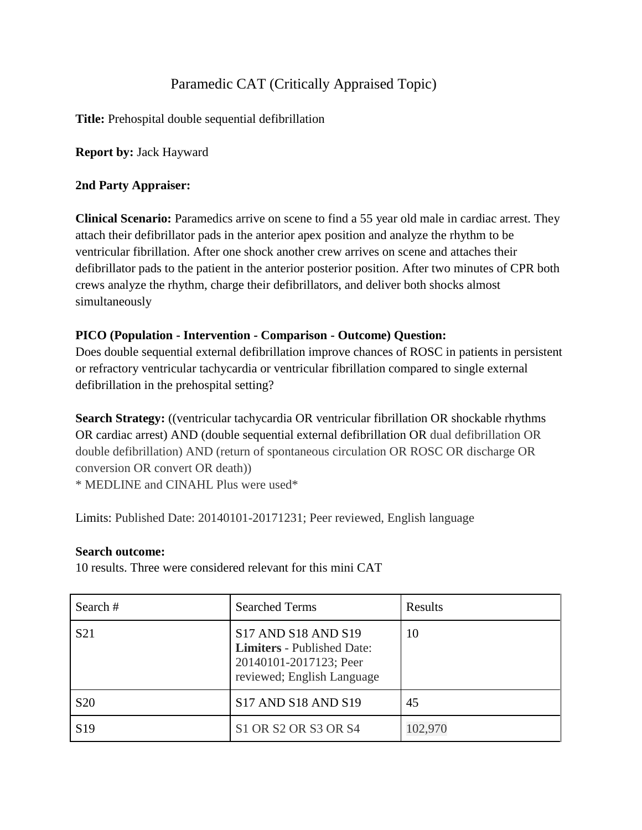# Paramedic CAT (Critically Appraised Topic)

**Title:** Prehospital double sequential defibrillation

**Report by:** Jack Hayward

#### **2nd Party Appraiser:**

**Clinical Scenario:** Paramedics arrive on scene to find a 55 year old male in cardiac arrest. They attach their defibrillator pads in the anterior apex position and analyze the rhythm to be ventricular fibrillation. After one shock another crew arrives on scene and attaches their defibrillator pads to the patient in the anterior posterior position. After two minutes of CPR both crews analyze the rhythm, charge their defibrillators, and deliver both shocks almost simultaneously

### **PICO (Population - Intervention - Comparison - Outcome) Question:**

Does double sequential external defibrillation improve chances of ROSC in patients in persistent or refractory ventricular tachycardia or ventricular fibrillation compared to single external defibrillation in the prehospital setting?

**Search Strategy:** ((ventricular tachycardia OR ventricular fibrillation OR shockable rhythms OR cardiac arrest) AND (double sequential external defibrillation OR dual defibrillation OR double defibrillation) AND (return of spontaneous circulation OR ROSC OR discharge OR conversion OR convert OR death)) \* MEDLINE and CINAHL Plus were used\*

Limits: Published Date: 20140101-20171231; Peer reviewed, English language

#### **Search outcome:**

10 results. Three were considered relevant for this mini CAT

| Search #        | <b>Searched Terms</b>                                                                                            | Results |
|-----------------|------------------------------------------------------------------------------------------------------------------|---------|
| S <sub>21</sub> | S17 AND S18 AND S19<br><b>Limiters</b> - Published Date:<br>20140101-2017123; Peer<br>reviewed; English Language | 10      |
| <b>S20</b>      | S17 AND S18 AND S19                                                                                              | 45      |
| S <sub>19</sub> | S1 OR S2 OR S3 OR S4                                                                                             | 102,970 |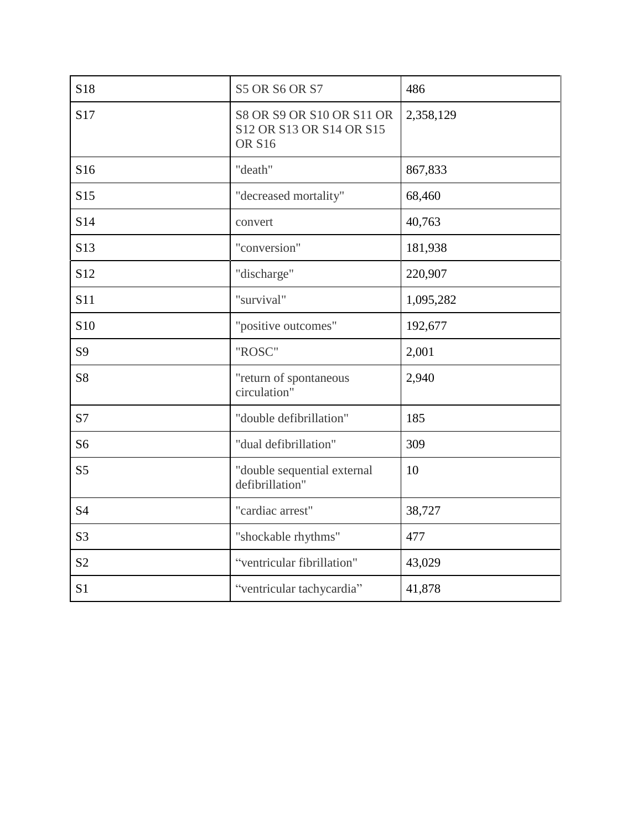| S18             | <b>S5 OR S6 OR S7</b>                                                  | 486       |  |  |
|-----------------|------------------------------------------------------------------------|-----------|--|--|
| S17             | S8 OR S9 OR S10 OR S11 OR<br>S12 OR S13 OR S14 OR S15<br><b>OR S16</b> | 2,358,129 |  |  |
| S16             | "death"                                                                | 867,833   |  |  |
| S15             | "decreased mortality"                                                  | 68,460    |  |  |
| S14             | convert                                                                | 40,763    |  |  |
| S13             | "conversion"                                                           | 181,938   |  |  |
| S <sub>12</sub> | "discharge"                                                            | 220,907   |  |  |
| <b>S11</b>      | "survival"                                                             | 1,095,282 |  |  |
| S <sub>10</sub> | "positive outcomes"                                                    | 192,677   |  |  |
| S9              | "ROSC"                                                                 | 2,001     |  |  |
| S <sub>8</sub>  | "return of spontaneous<br>circulation"                                 | 2,940     |  |  |
| S7              | "double defibrillation"                                                | 185       |  |  |
| S <sub>6</sub>  | "dual defibrillation"                                                  | 309       |  |  |
| S <sub>5</sub>  | "double sequential external<br>defibrillation"                         | 10        |  |  |
| <b>S4</b>       | "cardiac arrest"                                                       | 38,727    |  |  |
| S <sub>3</sub>  | "shockable rhythms"                                                    | 477       |  |  |
| S <sub>2</sub>  | "ventricular fibrillation"                                             | 43,029    |  |  |
| S <sub>1</sub>  | "ventricular tachycardia"                                              | 41,878    |  |  |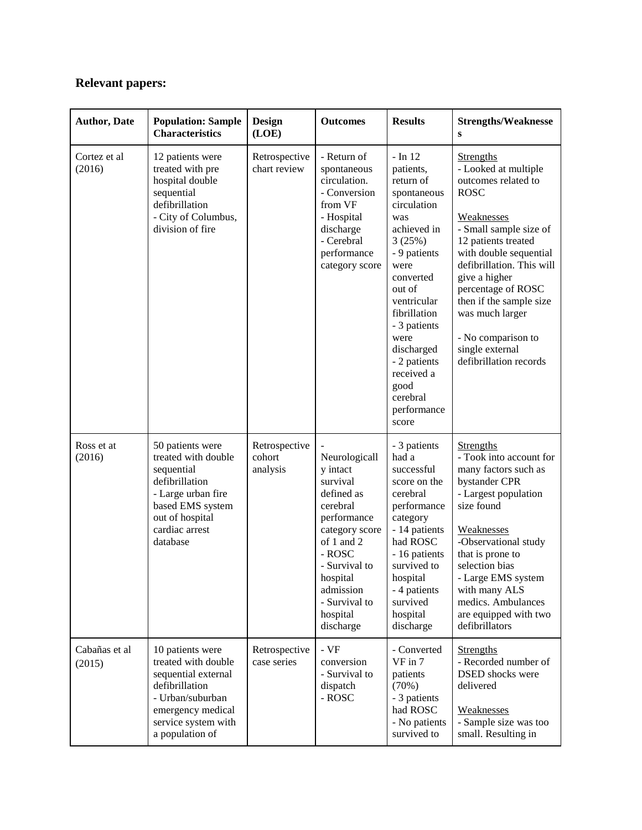# **Relevant papers:**

| <b>Author, Date</b>     | <b>Population: Sample</b><br><b>Characteristics</b>                                                                                                                 | <b>Design</b><br>(LOE)              | <b>Outcomes</b>                                                                                                                                                                                              | <b>Results</b>                                                                                                                                                                                                                                                                                  | <b>Strengths/Weaknesse</b><br>S                                                                                                                                                                                                                                                                                                                              |
|-------------------------|---------------------------------------------------------------------------------------------------------------------------------------------------------------------|-------------------------------------|--------------------------------------------------------------------------------------------------------------------------------------------------------------------------------------------------------------|-------------------------------------------------------------------------------------------------------------------------------------------------------------------------------------------------------------------------------------------------------------------------------------------------|--------------------------------------------------------------------------------------------------------------------------------------------------------------------------------------------------------------------------------------------------------------------------------------------------------------------------------------------------------------|
| Cortez et al<br>(2016)  | 12 patients were<br>treated with pre<br>hospital double<br>sequential<br>defibrillation<br>- City of Columbus,<br>division of fire                                  | Retrospective<br>chart review       | - Return of<br>spontaneous<br>circulation.<br>- Conversion<br>from VF<br>- Hospital<br>discharge<br>- Cerebral<br>performance<br>category score                                                              | $-$ In 12<br>patients,<br>return of<br>spontaneous<br>circulation<br>was<br>achieved in<br>3(25%)<br>- 9 patients<br>were<br>converted<br>out of<br>ventricular<br>fibrillation<br>- 3 patients<br>were<br>discharged<br>- 2 patients<br>received a<br>good<br>cerebral<br>performance<br>score | <b>Strengths</b><br>- Looked at multiple<br>outcomes related to<br><b>ROSC</b><br>Weaknesses<br>- Small sample size of<br>12 patients treated<br>with double sequential<br>defibrillation. This will<br>give a higher<br>percentage of ROSC<br>then if the sample size<br>was much larger<br>- No comparison to<br>single external<br>defibrillation records |
| Ross et at<br>(2016)    | 50 patients were<br>treated with double<br>sequential<br>defibrillation<br>- Large urban fire<br>based EMS system<br>out of hospital<br>cardiac arrest<br>database  | Retrospective<br>cohort<br>analysis | Neurologicall<br>y intact<br>survival<br>defined as<br>cerebral<br>performance<br>category score<br>of 1 and 2<br>- ROSC<br>- Survival to<br>hospital<br>admission<br>- Survival to<br>hospital<br>discharge | - 3 patients<br>had a<br>successful<br>score on the<br>cerebral<br>performance<br>category<br>- 14 patients<br>had ROSC<br>- 16 patients<br>survived to<br>hospital<br>- 4 patients<br>survived<br>hospital<br>discharge                                                                        | <b>Strengths</b><br>- Took into account for<br>many factors such as<br>bystander CPR<br>- Largest population<br>size found<br>Weaknesses<br>-Observational study<br>that is prone to<br>selection bias<br>- Large EMS system<br>with many ALS<br>medics. Ambulances<br>are equipped with two<br>defibrillators                                               |
| Cabañas et al<br>(2015) | 10 patients were<br>treated with double<br>sequential external<br>defibrillation<br>- Urban/suburban<br>emergency medical<br>service system with<br>a population of | Retrospective<br>case series        | - VF<br>conversion<br>- Survival to<br>dispatch<br>- ROSC                                                                                                                                                    | - Converted<br>VF in 7<br>patients<br>(70%)<br>- 3 patients<br>had ROSC<br>- No patients<br>survived to                                                                                                                                                                                         | <b>Strengths</b><br>- Recorded number of<br><b>DSED</b> shocks were<br>delivered<br>Weaknesses<br>- Sample size was too<br>small. Resulting in                                                                                                                                                                                                               |